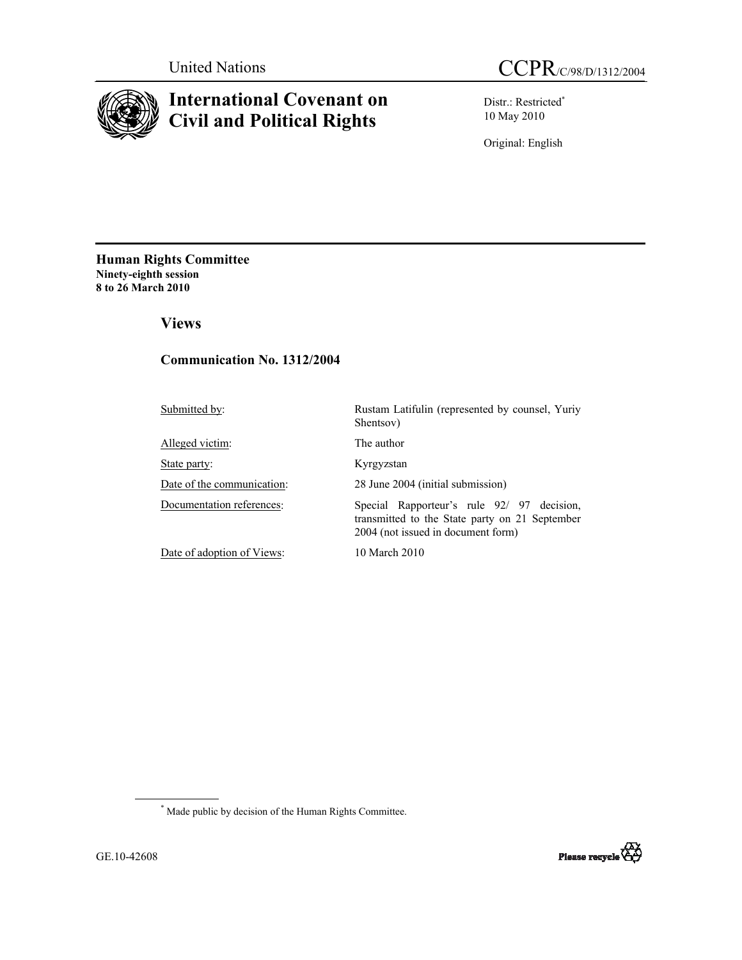

# **International Covenant on Civil and Political Rights**

Distr.: Restricted\* 10 May 2010

Original: English

**Human Rights Committee Ninety-eighth session 8 to 26 March 2010** 

 **Views** 

### **Communication No. 1312/2004**

Alleged victim: The author

State party: Kyrgyzstan

Submitted by:<br>Rustam Latifulin (represented by counsel, Yuriy Shentsov)

Date of the communication: 28 June 2004 (initial submission)

Documentation references: Special Rapporteur's rule 92/ 97 decision, transmitted to the State party on 21 September 2004 (not issued in document form)

Date of adoption of Views: 10 March 2010

 \* Made public by decision of the Human Rights Committee.

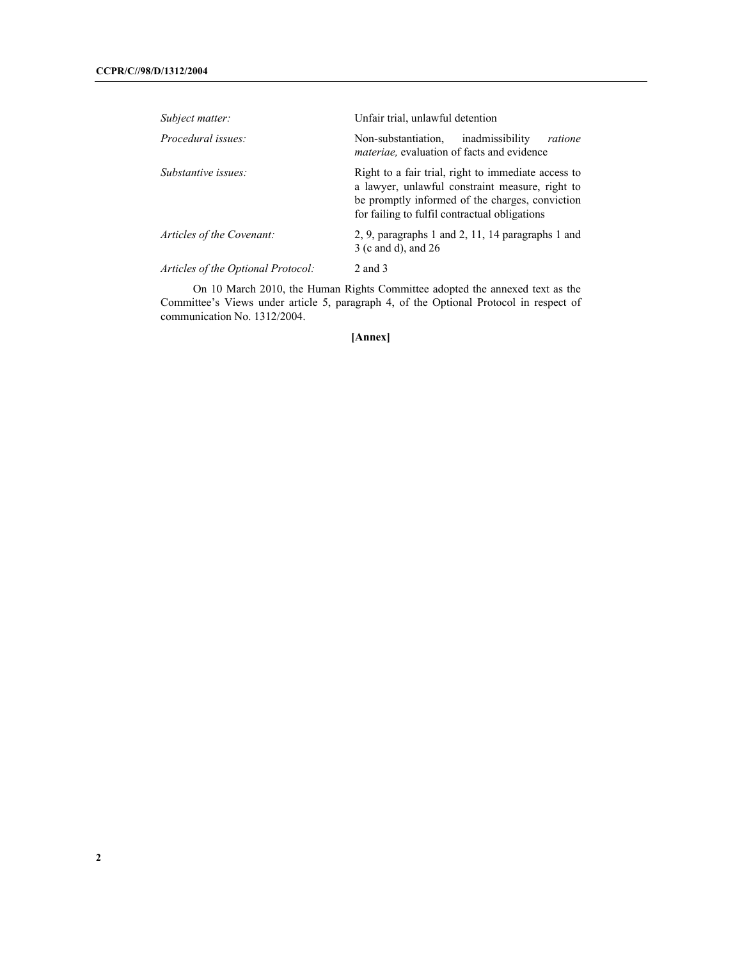| Subject matter:                    | Unfair trial, unlawful detention                                                                                                                                                                           |
|------------------------------------|------------------------------------------------------------------------------------------------------------------------------------------------------------------------------------------------------------|
| Procedural issues:                 | inadmissibility<br>Non-substantiation.<br>ratione<br><i>materiae</i> , evaluation of facts and evidence                                                                                                    |
| Substantive issues:                | Right to a fair trial, right to immediate access to<br>a lawyer, unlawful constraint measure, right to<br>be promptly informed of the charges, conviction<br>for failing to fulfil contractual obligations |
| Articles of the Covenant:          | 2, 9, paragraphs 1 and 2, 11, 14 paragraphs 1 and<br>3 (c and d), and 26                                                                                                                                   |
| Articles of the Optional Protocol: | 2 and 3                                                                                                                                                                                                    |

On 10 March 2010, the Human Rights Committee adopted the annexed text as the Committee's Views under article 5, paragraph 4, of the Optional Protocol in respect of communication No. 1312/2004.

**[Annex]**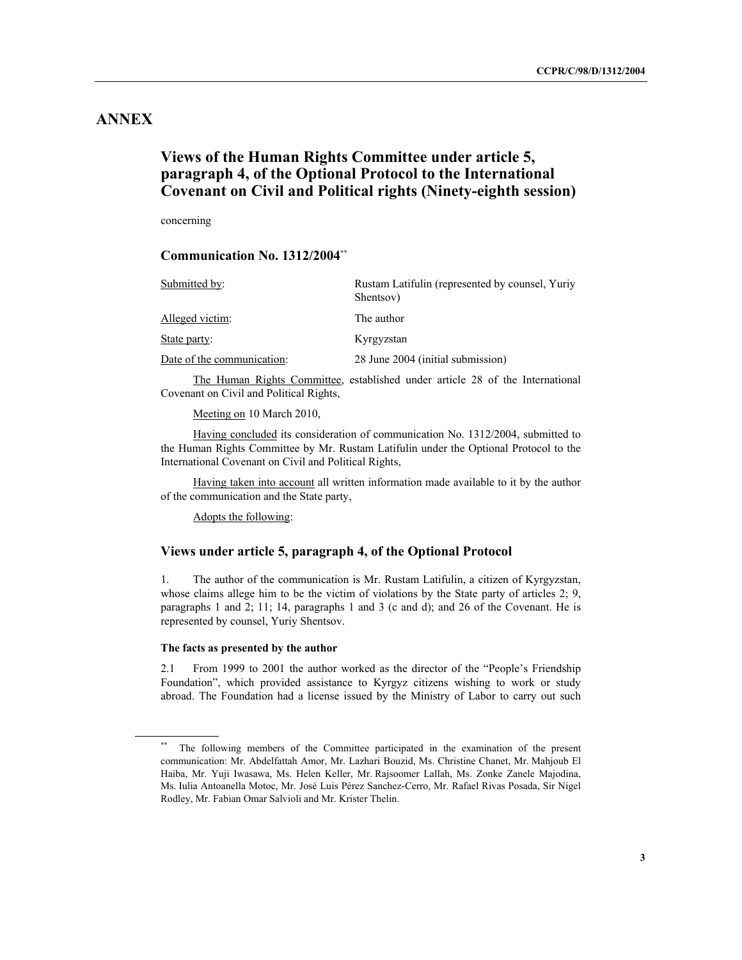# **ANNEX**

## **Views of the Human Rights Committee under article 5, paragraph 4, of the Optional Protocol to the International Covenant on Civil and Political rights (Ninety-eighth session)**

concerning

### **Communication No. 1312/2004\*\***

| Submitted by:              | Rustam Latifulin (represented by counsel, Yuriy<br>Shentsov) |
|----------------------------|--------------------------------------------------------------|
| Alleged victim:            | The author                                                   |
| State party:               | Kyrgyzstan                                                   |
| Date of the communication: | 28 June 2004 (initial submission)                            |

The Human Rights Committee, established under article 28 of the International Covenant on Civil and Political Rights,

Meeting on 10 March 2010,

 Having concluded its consideration of communication No. 1312/2004, submitted to the Human Rights Committee by Mr. Rustam Latifulin under the Optional Protocol to the International Covenant on Civil and Political Rights,

 Having taken into account all written information made available to it by the author of the communication and the State party,

Adopts the following:

### **Views under article 5, paragraph 4, of the Optional Protocol**

1. The author of the communication is Mr. Rustam Latifulin, a citizen of Kyrgyzstan, whose claims allege him to be the victim of violations by the State party of articles 2; 9, paragraphs 1 and 2; 11; 14, paragraphs 1 and 3 (c and d); and 26 of the Covenant. He is represented by counsel, Yuriy Shentsov.

#### **The facts as presented by the author**

2.1 From 1999 to 2001 the author worked as the director of the "People's Friendship Foundation", which provided assistance to Kyrgyz citizens wishing to work or study abroad. The Foundation had a license issued by the Ministry of Labor to carry out such

<sup>\*\*</sup> The following members of the Committee participated in the examination of the present communication: Mr. Abdelfattah Amor, Mr. Lazhari Bouzid, Ms. Christine Chanet, Mr. Mahjoub El Haiba, Mr. Yuji Iwasawa, Ms. Helen Keller, Mr. Rajsoomer Lallah, Ms. Zonke Zanele Majodina, Ms. Iulia Antoanella Motoc, Mr. José Luis Pérez Sanchez-Cerro, Mr. Rafael Rivas Posada, Sir Nigel Rodley, Mr. Fabian Omar Salvioli and Mr. Krister Thelin.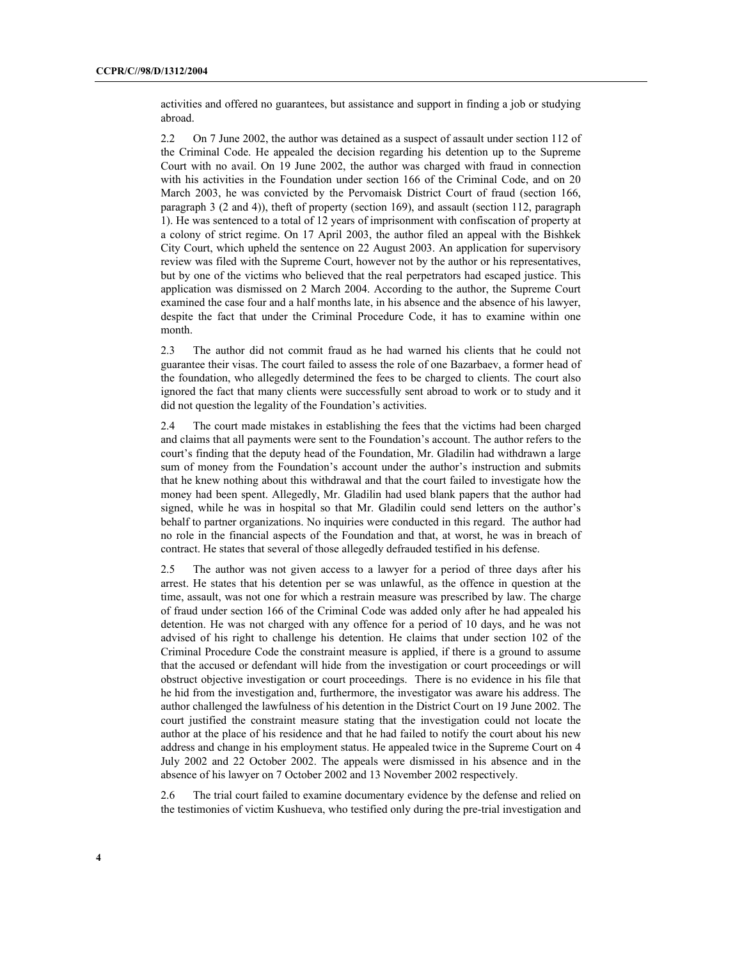activities and offered no guarantees, but assistance and support in finding a job or studying abroad.

2.2 On 7 June 2002, the author was detained as a suspect of assault under section 112 of the Criminal Code. He appealed the decision regarding his detention up to the Supreme Court with no avail. On 19 June 2002, the author was charged with fraud in connection with his activities in the Foundation under section 166 of the Criminal Code, and on 20 March 2003, he was convicted by the Pervomaisk District Court of fraud (section 166, paragraph 3 (2 and 4)), theft of property (section 169), and assault (section 112, paragraph 1). He was sentenced to a total of 12 years of imprisonment with confiscation of property at a colony of strict regime. On 17 April 2003, the author filed an appeal with the Bishkek City Court, which upheld the sentence on 22 August 2003. An application for supervisory review was filed with the Supreme Court, however not by the author or his representatives, but by one of the victims who believed that the real perpetrators had escaped justice. This application was dismissed on 2 March 2004. According to the author, the Supreme Court examined the case four and a half months late, in his absence and the absence of his lawyer, despite the fact that under the Criminal Procedure Code, it has to examine within one month.

2.3 The author did not commit fraud as he had warned his clients that he could not guarantee their visas. The court failed to assess the role of one Bazarbaev, a former head of the foundation, who allegedly determined the fees to be charged to clients. The court also ignored the fact that many clients were successfully sent abroad to work or to study and it did not question the legality of the Foundation's activities.

2.4 The court made mistakes in establishing the fees that the victims had been charged and claims that all payments were sent to the Foundation's account. The author refers to the court's finding that the deputy head of the Foundation, Mr. Gladilin had withdrawn a large sum of money from the Foundation's account under the author's instruction and submits that he knew nothing about this withdrawal and that the court failed to investigate how the money had been spent. Allegedly, Mr. Gladilin had used blank papers that the author had signed, while he was in hospital so that Mr. Gladilin could send letters on the author's behalf to partner organizations. No inquiries were conducted in this regard. The author had no role in the financial aspects of the Foundation and that, at worst, he was in breach of contract. He states that several of those allegedly defrauded testified in his defense.

2.5 The author was not given access to a lawyer for a period of three days after his arrest. He states that his detention per se was unlawful, as the offence in question at the time, assault, was not one for which a restrain measure was prescribed by law. The charge of fraud under section 166 of the Criminal Code was added only after he had appealed his detention. He was not charged with any offence for a period of 10 days, and he was not advised of his right to challenge his detention. He claims that under section 102 of the Criminal Procedure Code the constraint measure is applied, if there is a ground to assume that the accused or defendant will hide from the investigation or court proceedings or will obstruct objective investigation or court proceedings. There is no evidence in his file that he hid from the investigation and, furthermore, the investigator was aware his address. The author challenged the lawfulness of his detention in the District Court on 19 June 2002. The court justified the constraint measure stating that the investigation could not locate the author at the place of his residence and that he had failed to notify the court about his new address and change in his employment status. He appealed twice in the Supreme Court on 4 July 2002 and 22 October 2002. The appeals were dismissed in his absence and in the absence of his lawyer on 7 October 2002 and 13 November 2002 respectively.

2.6 The trial court failed to examine documentary evidence by the defense and relied on the testimonies of victim Kushueva, who testified only during the pre-trial investigation and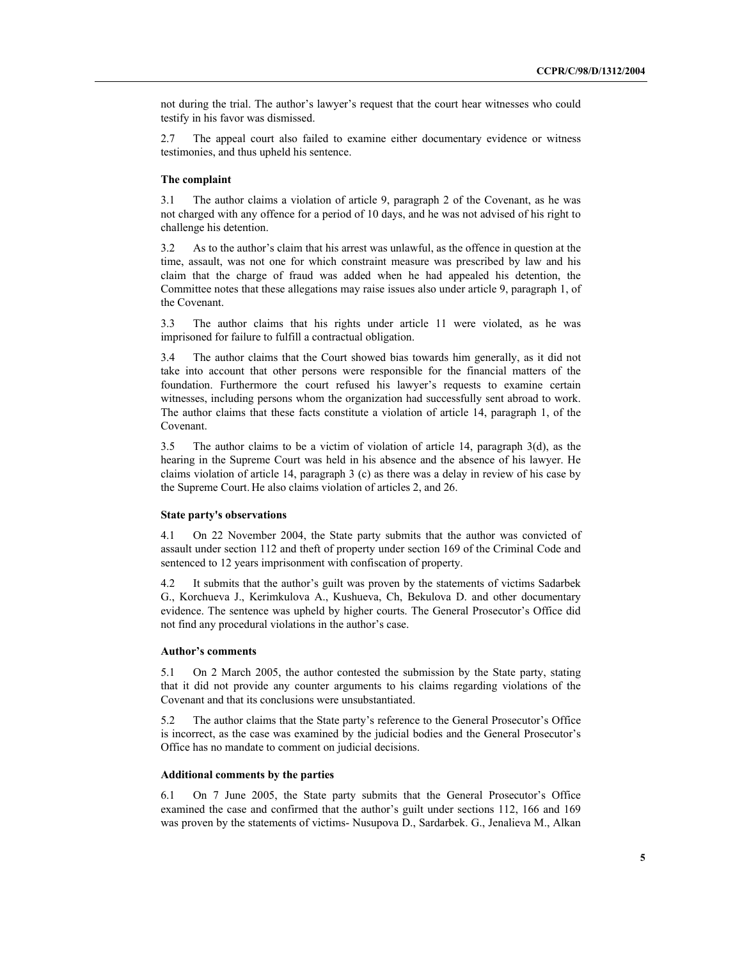not during the trial. The author's lawyer's request that the court hear witnesses who could testify in his favor was dismissed.

2.7 The appeal court also failed to examine either documentary evidence or witness testimonies, and thus upheld his sentence.

#### **The complaint**

3.1 The author claims a violation of article 9, paragraph 2 of the Covenant, as he was not charged with any offence for a period of 10 days, and he was not advised of his right to challenge his detention.

3.2 As to the author's claim that his arrest was unlawful, as the offence in question at the time, assault, was not one for which constraint measure was prescribed by law and his claim that the charge of fraud was added when he had appealed his detention, the Committee notes that these allegations may raise issues also under article 9, paragraph 1, of the Covenant.

3.3 The author claims that his rights under article 11 were violated, as he was imprisoned for failure to fulfill a contractual obligation.

3.4 The author claims that the Court showed bias towards him generally, as it did not take into account that other persons were responsible for the financial matters of the foundation. Furthermore the court refused his lawyer's requests to examine certain witnesses, including persons whom the organization had successfully sent abroad to work. The author claims that these facts constitute a violation of article 14, paragraph 1, of the Covenant.

3.5 The author claims to be a victim of violation of article 14, paragraph 3(d), as the hearing in the Supreme Court was held in his absence and the absence of his lawyer. He claims violation of article 14, paragraph 3 (c) as there was a delay in review of his case by the Supreme Court. He also claims violation of articles 2, and 26.

#### **State party's observations**

4.1 On 22 November 2004, the State party submits that the author was convicted of assault under section 112 and theft of property under section 169 of the Criminal Code and sentenced to 12 years imprisonment with confiscation of property.

4.2 It submits that the author's guilt was proven by the statements of victims Sadarbek G., Korchueva J., Kerimkulova A., Kushueva, Ch, Bekulova D. and other documentary evidence. The sentence was upheld by higher courts. The General Prosecutor's Office did not find any procedural violations in the author's case.

#### **Author's comments**

5.1 On 2 March 2005, the author contested the submission by the State party, stating that it did not provide any counter arguments to his claims regarding violations of the Covenant and that its conclusions were unsubstantiated.

5.2 The author claims that the State party's reference to the General Prosecutor's Office is incorrect, as the case was examined by the judicial bodies and the General Prosecutor's Office has no mandate to comment on judicial decisions.

#### **Additional comments by the parties**

6.1 On 7 June 2005, the State party submits that the General Prosecutor's Office examined the case and confirmed that the author's guilt under sections 112, 166 and 169 was proven by the statements of victims- Nusupova D., Sardarbek. G., Jenalieva M., Alkan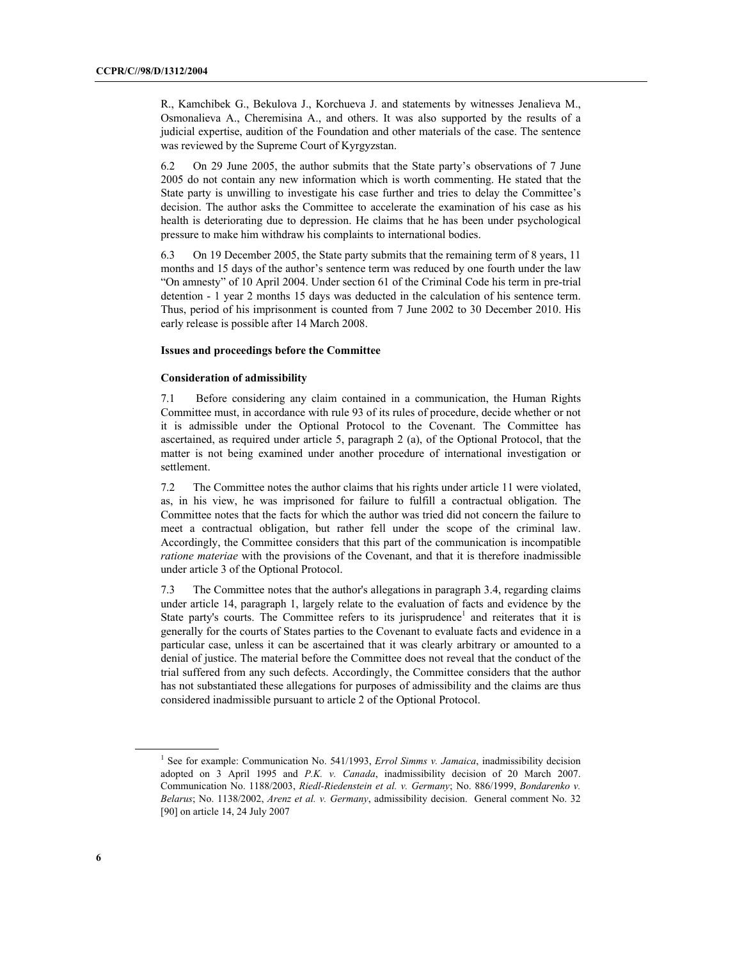R., Kamchibek G., Bekulova J., Korchueva J. and statements by witnesses Jenalieva M., Osmonalieva A., Cheremisina A., and others. It was also supported by the results of a judicial expertise, audition of the Foundation and other materials of the case. The sentence was reviewed by the Supreme Court of Kyrgyzstan.

6.2 On 29 June 2005, the author submits that the State party's observations of 7 June 2005 do not contain any new information which is worth commenting. He stated that the State party is unwilling to investigate his case further and tries to delay the Committee's decision. The author asks the Committee to accelerate the examination of his case as his health is deteriorating due to depression. He claims that he has been under psychological pressure to make him withdraw his complaints to international bodies.

6.3 On 19 December 2005, the State party submits that the remaining term of 8 years, 11 months and 15 days of the author's sentence term was reduced by one fourth under the law "On amnesty" of 10 April 2004. Under section 61 of the Criminal Code his term in pre-trial detention - 1 year 2 months 15 days was deducted in the calculation of his sentence term. Thus, period of his imprisonment is counted from 7 June 2002 to 30 December 2010. His early release is possible after 14 March 2008.

#### **Issues and proceedings before the Committee**

#### **Consideration of admissibility**

7.1 Before considering any claim contained in a communication, the Human Rights Committee must, in accordance with rule 93 of its rules of procedure, decide whether or not it is admissible under the Optional Protocol to the Covenant. The Committee has ascertained, as required under article 5, paragraph 2 (a), of the Optional Protocol, that the matter is not being examined under another procedure of international investigation or settlement.

7.2 The Committee notes the author claims that his rights under article 11 were violated, as, in his view, he was imprisoned for failure to fulfill a contractual obligation. The Committee notes that the facts for which the author was tried did not concern the failure to meet a contractual obligation, but rather fell under the scope of the criminal law. Accordingly, the Committee considers that this part of the communication is incompatible *ratione materiae* with the provisions of the Covenant, and that it is therefore inadmissible under article 3 of the Optional Protocol.

7.3 The Committee notes that the author's allegations in paragraph 3.4, regarding claims under article 14, paragraph 1, largely relate to the evaluation of facts and evidence by the State party's courts. The Committee refers to its jurisprudence<sup>1</sup> and reiterates that it is generally for the courts of States parties to the Covenant to evaluate facts and evidence in a particular case, unless it can be ascertained that it was clearly arbitrary or amounted to a denial of justice. The material before the Committee does not reveal that the conduct of the trial suffered from any such defects. Accordingly, the Committee considers that the author has not substantiated these allegations for purposes of admissibility and the claims are thus considered inadmissible pursuant to article 2 of the Optional Protocol.

<sup>1</sup> <sup>1</sup> See for example: Communication No. 541/1993, *Errol Simms v. Jamaica*, inadmissibility decision adopted on 3 April 1995 and *P.K. v. Canada*, inadmissibility decision of 20 March 2007. Communication No. 1188/2003, *Riedl-Riedenstein et al. v. Germany*; No. 886/1999, *Bondarenko v. Belarus*; No. 1138/2002, *Arenz et al. v. Germany*, admissibility decision. General comment No. 32 [90] on article 14, 24 July 2007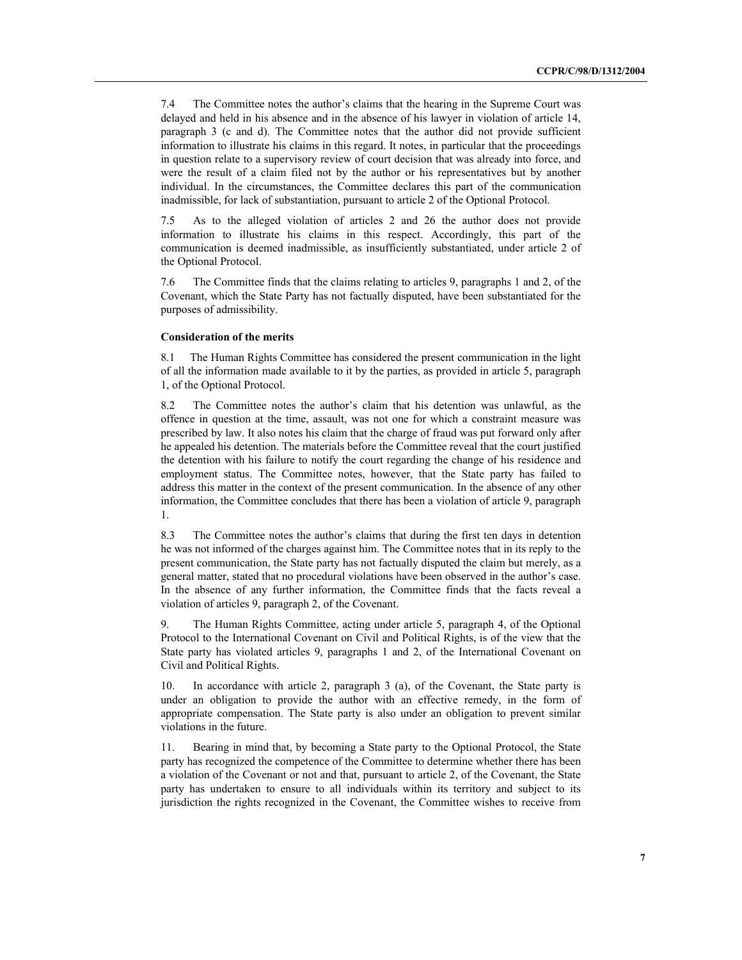7.4 The Committee notes the author's claims that the hearing in the Supreme Court was delayed and held in his absence and in the absence of his lawyer in violation of article 14, paragraph 3 (c and d). The Committee notes that the author did not provide sufficient information to illustrate his claims in this regard. It notes, in particular that the proceedings in question relate to a supervisory review of court decision that was already into force, and were the result of a claim filed not by the author or his representatives but by another individual. In the circumstances, the Committee declares this part of the communication inadmissible, for lack of substantiation, pursuant to article 2 of the Optional Protocol.

7.5 As to the alleged violation of articles 2 and 26 the author does not provide information to illustrate his claims in this respect. Accordingly, this part of the communication is deemed inadmissible, as insufficiently substantiated, under article 2 of the Optional Protocol.

7.6 The Committee finds that the claims relating to articles 9, paragraphs 1 and 2, of the Covenant, which the State Party has not factually disputed, have been substantiated for the purposes of admissibility.

#### **Consideration of the merits**

8.1 The Human Rights Committee has considered the present communication in the light of all the information made available to it by the parties, as provided in article 5, paragraph 1, of the Optional Protocol.

8.2 The Committee notes the author's claim that his detention was unlawful, as the offence in question at the time, assault, was not one for which a constraint measure was prescribed by law. It also notes his claim that the charge of fraud was put forward only after he appealed his detention. The materials before the Committee reveal that the court justified the detention with his failure to notify the court regarding the change of his residence and employment status. The Committee notes, however, that the State party has failed to address this matter in the context of the present communication. In the absence of any other information, the Committee concludes that there has been a violation of article 9, paragraph 1.

8.3 The Committee notes the author's claims that during the first ten days in detention he was not informed of the charges against him. The Committee notes that in its reply to the present communication, the State party has not factually disputed the claim but merely, as a general matter, stated that no procedural violations have been observed in the author's case. In the absence of any further information, the Committee finds that the facts reveal a violation of articles 9, paragraph 2, of the Covenant.

9. The Human Rights Committee, acting under article 5, paragraph 4, of the Optional Protocol to the International Covenant on Civil and Political Rights, is of the view that the State party has violated articles 9, paragraphs 1 and 2, of the International Covenant on Civil and Political Rights.

10. In accordance with article 2, paragraph 3 (a), of the Covenant, the State party is under an obligation to provide the author with an effective remedy, in the form of appropriate compensation. The State party is also under an obligation to prevent similar violations in the future.

11. Bearing in mind that, by becoming a State party to the Optional Protocol, the State party has recognized the competence of the Committee to determine whether there has been a violation of the Covenant or not and that, pursuant to article 2, of the Covenant, the State party has undertaken to ensure to all individuals within its territory and subject to its jurisdiction the rights recognized in the Covenant, the Committee wishes to receive from